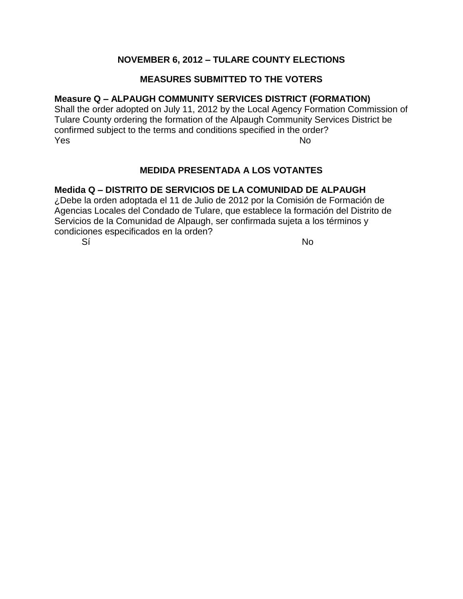# **NOVEMBER 6, 2012 – TULARE COUNTY ELECTIONS**

# **MEASURES SUBMITTED TO THE VOTERS**

### **Measure Q – ALPAUGH COMMUNITY SERVICES DISTRICT (FORMATION)**

Shall the order adopted on July 11, 2012 by the Local Agency Formation Commission of Tulare County ordering the formation of the Alpaugh Community Services District be confirmed subject to the terms and conditions specified in the order? **Yes** No. 2008. In the No. 2008. In the No. 2008. In the No. 2008. In the No. 2014. In the No. 2014. In the No. 2014

# **MEDIDA PRESENTADA A LOS VOTANTES**

### **Medida Q – DISTRITO DE SERVICIOS DE LA COMUNIDAD DE ALPAUGH**

¿Debe la orden adoptada el 11 de Julio de 2012 por la Comisión de Formación de Agencias Locales del Condado de Tulare, que establece la formación del Distrito de Servicios de la Comunidad de Alpaugh, ser confirmada sujeta a los términos y condiciones especificados en la orden?

Sí Nobel a chomhchan ann an t-Iomraid ann an t-Iomraid ann an t-Iomraid ann an t-Iomraid ann an t-Iomraid ann a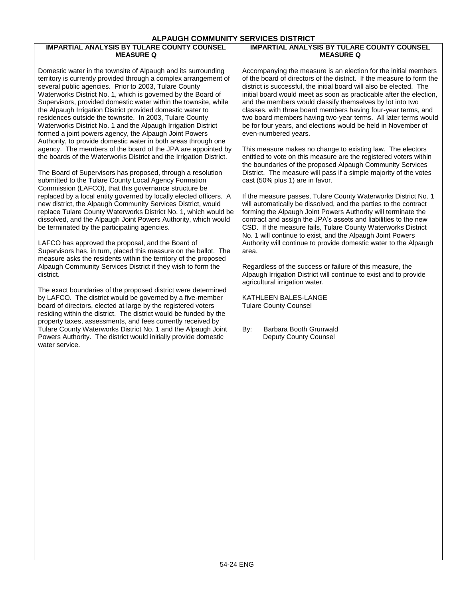#### **ALPAUGH COMMUNITY SERVICES DISTRICT**

#### **IMPARTIAL ANALYSIS BY TULARE COUNTY COUNSEL MEASURE Q**

Domestic water in the townsite of Alpaugh and its surrounding territory is currently provided through a complex arrangement of several public agencies. Prior to 2003, Tulare County Waterworks District No. 1, which is governed by the Board of Supervisors, provided domestic water within the townsite, while the Alpaugh Irrigation District provided domestic water to residences outside the townsite. In 2003, Tulare County Waterworks District No. 1 and the Alpaugh Irrigation District formed a joint powers agency, the Alpaugh Joint Powers Authority, to provide domestic water in both areas through one agency. The members of the board of the JPA are appointed by the boards of the Waterworks District and the Irrigation District.

The Board of Supervisors has proposed, through a resolution submitted to the Tulare County Local Agency Formation Commission (LAFCO), that this governance structure be replaced by a local entity governed by locally elected officers. A new district, the Alpaugh Community Services District, would replace Tulare County Waterworks District No. 1, which would be dissolved, and the Alpaugh Joint Powers Authority, which would be terminated by the participating agencies.

LAFCO has approved the proposal, and the Board of Supervisors has, in turn, placed this measure on the ballot. The measure asks the residents within the territory of the proposed Alpaugh Community Services District if they wish to form the district.

The exact boundaries of the proposed district were determined by LAFCO. The district would be governed by a five-member board of directors, elected at large by the registered voters residing within the district. The district would be funded by the property taxes, assessments, and fees currently received by Tulare County Waterworks District No. 1 and the Alpaugh Joint Powers Authority. The district would initially provide domestic water service.

#### **IMPARTIAL ANALYSIS BY TULARE COUNTY COUNSEL MEASURE Q**

Accompanying the measure is an election for the initial members of the board of directors of the district. If the measure to form the district is successful, the initial board will also be elected. The initial board would meet as soon as practicable after the election, and the members would classify themselves by lot into two classes, with three board members having four-year terms, and two board members having two-year terms. All later terms would be for four years, and elections would be held in November of even-numbered years.

This measure makes no change to existing law. The electors entitled to vote on this measure are the registered voters within the boundaries of the proposed Alpaugh Community Services District. The measure will pass if a simple majority of the votes cast (50% plus 1) are in favor.

If the measure passes, Tulare County Waterworks District No. 1 will automatically be dissolved, and the parties to the contract forming the Alpaugh Joint Powers Authority will terminate the contract and assign the JPA's assets and liabilities to the new CSD. If the measure fails, Tulare County Waterworks District No. 1 will continue to exist, and the Alpaugh Joint Powers Authority will continue to provide domestic water to the Alpaugh area.

Regardless of the success or failure of this measure, the Alpaugh Irrigation District will continue to exist and to provide agricultural irrigation water.

KATHLEEN BALES-LANGE Tulare County Counsel

By: Barbara Booth Grunwald Deputy County Counsel